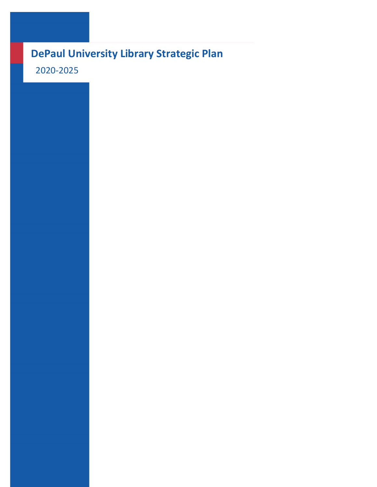# **DePaul University Library Strategic Plan**

2020-2025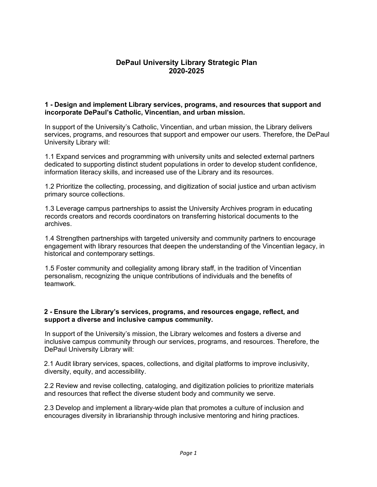# **DePaul University Library Strategic Plan 2020-2025**

#### **1 - Design and implement Library services, programs, and resources that support and incorporate DePaul's Catholic, Vincentian, and urban mission.**

In support of the University's Catholic, Vincentian, and urban mission, the Library delivers services, programs, and resources that support and empower our users. Therefore, the DePaul University Library will:

1.1 Expand services and programming with university units and selected external partners dedicated to supporting distinct student populations in order to develop student confidence, information literacy skills, and increased use of the Library and its resources.

1.2 Prioritize the collecting, processing, and digitization of social justice and urban activism primary source collections.

1.3 Leverage campus partnerships to assist the University Archives program in educating records creators and records coordinators on transferring historical documents to the archives.

1.4 Strengthen partnerships with targeted university and community partners to encourage engagement with library resources that deepen the understanding of the Vincentian legacy, in historical and contemporary settings.

1.5 Foster community and collegiality among library staff, in the tradition of Vincentian personalism, recognizing the unique contributions of individuals and the benefits of teamwork.

#### **2 - Ensure the Library's services, programs, and resources engage, reflect, and support a diverse and inclusive campus community.**

In support of the University's mission, the Library welcomes and fosters a diverse and inclusive campus community through our services, programs, and resources. Therefore, the DePaul University Library will:

2.1 Audit library services, spaces, collections, and digital platforms to improve inclusivity, diversity, equity, and accessibility.

2.2 Review and revise collecting, cataloging, and digitization policies to prioritize materials and resources that reflect the diverse student body and community we serve.

2.3 Develop and implement a library-wide plan that promotes a culture of inclusion and encourages diversity in librarianship through inclusive mentoring and hiring practices.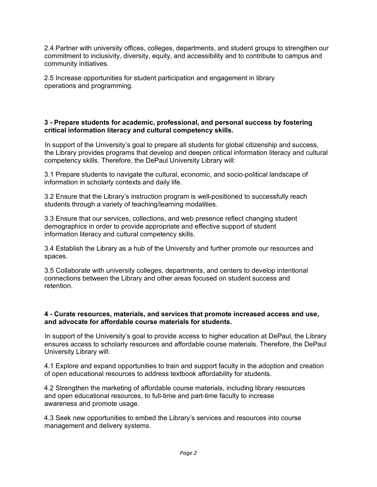2.4 Partner with university offices, colleges, departments, and student groups to strengthen our commitment to inclusivity, diversity, equity, and accessibility and to contribute to campus and community initiatives.

2.5 Increase opportunities for student participation and engagement in library operations and programming.

#### **3 - Prepare students for academic, professional, and personal success by fostering critical information literacy and cultural competency skills.**

In support of the University's goal to prepare all students for global citizenship and success, the Library provides programs that develop and deepen critical information literacy and cultural competency skills. Therefore, the DePaul University Library will:

3.1 Prepare students to navigate the cultural, economic, and socio-political landscape of information in scholarly contexts and daily life.

3.2 Ensure that the Library's instruction program is well-positioned to successfully reach students through a variety of teaching/learning modalities.

3.3 Ensure that our services, collections, and web presence reflect changing student demographics in order to provide appropriate and effective support of student information literacy and cultural competency skills.

3.4 Establish the Library as a hub of the University and further promote our resources and spaces.

3.5 Collaborate with university colleges, departments, and centers to develop intentional connections between the Library and other areas focused on student success and retention.

#### **4 - Curate resources, materials, and services that promote increased access and use, and advocate for affordable course materials for students.**

In support of the University's goal to provide access to higher education at DePaul, the Library ensures access to scholarly resources and affordable course materials. Therefore, the DePaul University Library will:

4.1 Explore and expand opportunities to train and support faculty in the adoption and creation of open educational resources to address textbook affordability for students.

4.2 Strengthen the marketing of affordable course materials, including library resources and open educational resources, to full-time and part-time faculty to increase awareness and promote usage.

4.3 Seek new opportunities to embed the Library's services and resources into course management and delivery systems.